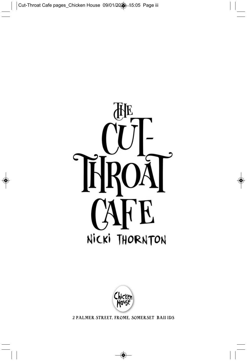



2 PALMER STREET, FROME, SOMERSET BA11 1DS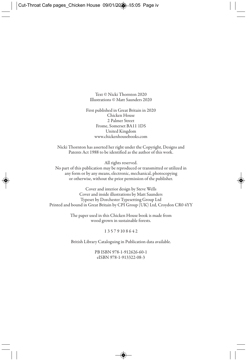Text © Nicki Thornton 2020 Illustrations © Matt Saunders 2020

First published in Great Britain in 2020 Chicken House 2 Palmer Street Frome, Somerset BA11 1DS United Kingdom www.chickenhousebooks.com

Nicki Thornton has asserted her right under the Copyright, Designs and Patents Act 1988 to be identified as the author of this work.

All rights reserved.

No part of this publication may be reproduced or transmitted or utilized in any form or by any means, electronic, mechanical, photocopying or otherwise, without the prior permission of the publisher.

Cover and interior design by Steve Wells Cover and inside illustrations by Matt Saunders Typeset by Dorchester Typesetting Group Ltd Printed and bound in Great Britain by CPI Group (UK) Ltd, Croydon CR0 4YY

> The paper used in this Chicken House book is made from wood grown in sustainable forests.

## 1 3 5 7 9 10 8 6 4 2

British Library Cataloguing in Publication data available.

PB ISBN 978-1-912626-60-1 eISBN 978-1-913322-08-3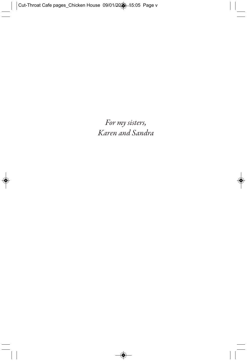*For my sisters, Karen and Sandra*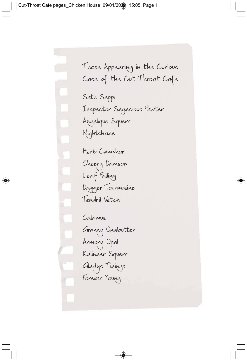Those Appearing in the Curious Case of the Cut-Throat Cafe

Seth Seppi Inspector Sagacious Pewter Angelique Squerr Nightshade

Herb Camphor Cheery Damson Leaf Falling Dagger Tourmaline Tendril Vetch

Calamus

Granny Onabutter Armory Opal Kalinder Squerr Gladys Tidings Forever Young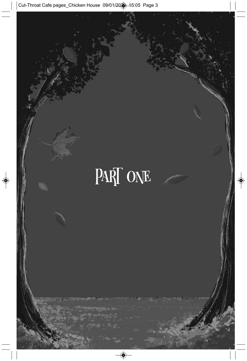## PART ONE

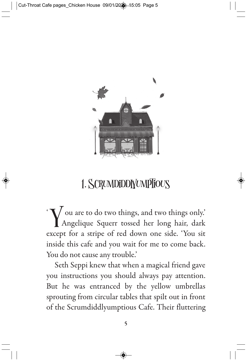

## 1. SCRUMDIDDIYUMPIFOUS

 $\rm \overline{Y}$  $\mathcal{N}$  ou are to do two things, and two things only.' Angelique Squerr tossed her long hair, dark except for a stripe of red down one side. 'You sit inside this cafe and you wait for me to come back. You do not cause any trouble.'

Seth Seppi knew that when a magical friend gave you instructions you should always pay attention. But he was entranced by the yellow umbrellas sprouting from circular tables that spilt out in front of the Scrumdiddlyumptious Cafe. Their fluttering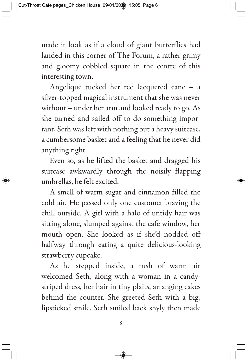made it look as if a cloud of giant butterflies had landed in this corner of The Forum, a rather grimy and gloomy cobbled square in the centre of this interesting town.

Angelique tucked her red lacquered cane – a silver-topped magical instrument that she was never without – under her arm and looked ready to go. As she turned and sailed off to do something important, Seth was left with nothing but a heavy suitcase, a cumbersome basket and a feeling that he never did anything right.

Even so, as he lifted the basket and dragged his suitcase awkwardly through the noisily flapping umbrellas, he felt excited.

A smell of warm sugar and cinnamon filled the cold air. He passed only one customer braving the chill outside. A girl with a halo of untidy hair was sitting alone, slumped against the cafe window, her mouth open. She looked as if she'd nodded off halfway through eating a quite delicious-looking strawberry cupcake.

As he stepped inside, a rush of warm air welcomed Seth, along with a woman in a candystriped dress, her hair in tiny plaits, arranging cakes behind the counter. She greeted Seth with a big, lipsticked smile. Seth smiled back shyly then made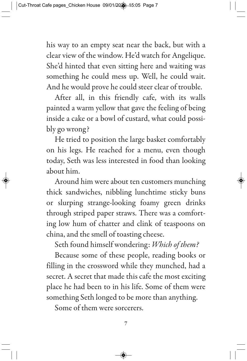his way to an empty seat near the back, but with a clear view of the window. He'd watch for Angelique. She'd hinted that even sitting here and waiting was something he could mess up. Well, he could wait. And he would prove he could steer clear of trouble.

After all, in this friendly cafe, with its walls painted a warm yellow that gave the feeling of being inside a cake or a bowl of custard, what could possibly go wrong?

He tried to position the large basket comfortably on his legs. He reached for a menu, even though today, Seth was less interested in food than looking about him.

Around him were about ten customers munching thick sandwiches, nibbling lunchtime sticky buns or slurping strange-looking foamy green drinks through striped paper straws. There was a comforting low hum of chatter and clink of teaspoons on china, and the smell of toasting cheese.

Seth found himself wondering: *Which of them?*

Because some of these people, reading books or filling in the crossword while they munched, had a secret. A secret that made this cafe the most exciting place he had been to in his life. Some of them were something Seth longed to be more than anything.

Some of them were sorcerers.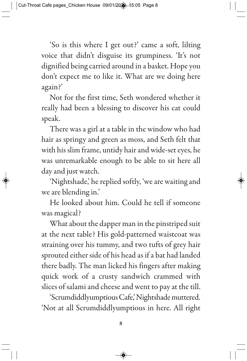'So is this where I get out?' came a soft, lilting voice that didn't disguise its grumpiness. 'It's not dignified being carried around in a basket. Hope you don't expect me to like it. What are we doing here again?'

Not for the first time, Seth wondered whether it really had been a blessing to discover his cat could speak.

There was a girl at a table in the window who had hair as springy and green as moss, and Seth felt that with his slim frame, untidy hair and wide-set eyes, he was unremarkable enough to be able to sit here all day and just watch.

'Nightshade,' he replied softly, 'we are waiting and we are blending in.'

He looked about him. Could he tell if someone was magical?

What about the dapper man in the pinstriped suit at the next table? His gold-patterned waistcoat was straining over his tummy, and two tufts of grey hair sprouted either side of his head as if a bat had landed there badly. The man licked his fingers after making quick work of a crusty sandwich crammed with slices of salami and cheese and went to pay at the till.

'Scrumdiddlyumptious Cafe,' Nightshade muttered. 'Not at all Scrumdiddlyumptious in here. All right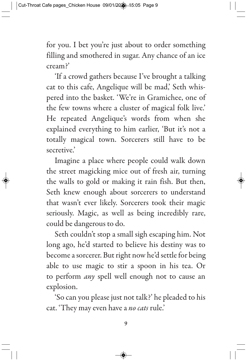for you. I bet you're just about to order something filling and smothered in sugar. Any chance of an ice cream?'

'If a crowd gathers because I've brought a talking cat to this cafe, Angelique will be mad,' Seth whispered into the basket. 'We're in Gramichee, one of the few towns where a cluster of magical folk live.' He repeated Angelique's words from when she explained everything to him earlier, 'But it's not a totally magical town. Sorcerers still have to be secretive.'

Imagine a place where people could walk down the street magicking mice out of fresh air, turning the walls to gold or making it rain fish. But then, Seth knew enough about sorcerers to understand that wasn't ever likely. Sorcerers took their magic seriously. Magic, as well as being incredibly rare, could be dangerous to do.

Seth couldn't stop a small sigh escaping him. Not long ago, he'd started to believe his destiny was to become a sorcerer. But right now he'd settle for being able to use magic to stir a spoon in his tea. Or to perform *any* spell well enough not to cause an explosion.

'So can you please just not talk?' he pleaded to his cat. 'They may even have a *no cats* rule.'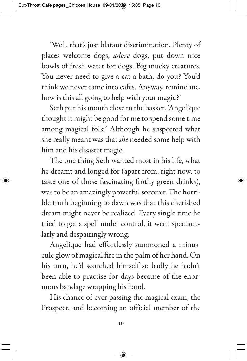'Well, that's just blatant discrimination. Plenty of places welcome dogs, *adore* dogs, put down nice bowls of fresh water for dogs. Big mucky creatures. You never need to give a cat a bath, do you? You'd think we never came into cafes. Anyway, remind me, how is this all going to help with your magic?'

Seth put his mouth close to the basket. 'Angelique thought it might be good for me to spend some time among magical folk.' Although he suspected what she really meant was that *she* needed some help with him and his disaster magic.

The one thing Seth wanted most in his life, what he dreamt and longed for (apart from, right now, to taste one of those fascinating frothy green drinks), was to be an amazingly powerful sorcerer. The horrible truth beginning to dawn was that this cherished dream might never be realized. Every single time he tried to get a spell under control, it went spectacularly and despairingly wrong.

Angelique had effortlessly summoned a minuscule glow of magical fire in the palm of her hand. On his turn, he'd scorched himself so badly he hadn't been able to practise for days because of the enormous bandage wrapping his hand.

His chance of ever passing the magical exam, the Prospect, and becoming an official member of the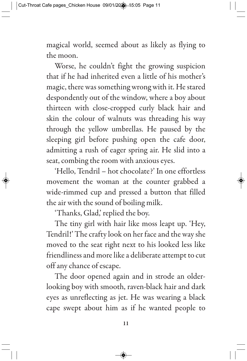magical world, seemed about as likely as flying to the moon.

Worse, he couldn't fight the growing suspicion that if he had inherited even a little of his mother's magic, there was something wrong with it. He stared despondently out of the window, where a boy about thirteen with close-cropped curly black hair and skin the colour of walnuts was threading his way through the yellow umbrellas. He paused by the sleeping girl before pushing open the cafe door, admitting a rush of eager spring air. He slid into a seat, combing the room with anxious eyes.

'Hello, Tendril – hot chocolate?' In one effortless movement the woman at the counter grabbed a wide-rimmed cup and pressed a button that filled the air with the sound of boiling milk.

'Thanks, Glad,' replied the boy.

The tiny girl with hair like moss leapt up. 'Hey, Tendril!' The crafty look on her face and the way she moved to the seat right next to his looked less like friendliness and more like a deliberate attempt to cut off any chance of escape.

The door opened again and in strode an olderlooking boy with smooth, raven-black hair and dark eyes as unreflecting as jet. He was wearing a black cape swept about him as if he wanted people to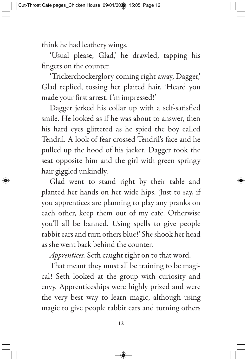think he had leathery wings.

'Usual please, Glad,' he drawled, tapping his fingers on the counter.

'Trickerchockerglory coming right away, Dagger,' Glad replied, tossing her plaited hair. 'Heard you made your first arrest. I'm impressed!'

Dagger jerked his collar up with a self-satisfied smile. He looked as if he was about to answer, then his hard eyes glittered as he spied the boy called Tendril. A look of fear crossed Tendril's face and he pulled up the hood of his jacket. Dagger took the seat opposite him and the girl with green springy hair giggled unkindly.

Glad went to stand right by their table and planted her hands on her wide hips. 'Just to say, if you apprentices are planning to play any pranks on each other, keep them out of my cafe. Otherwise you'll all be banned. Using spells to give people rabbit ears and turn others blue!' She shook her head as she went back behind the counter.

*Apprentices.* Seth caught right on to that word.

That meant they must all be training to be magical! Seth looked at the group with curiosity and envy. Apprenticeships were highly prized and were the very best way to learn magic, although using magic to give people rabbit ears and turning others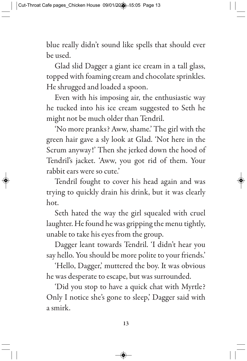blue really didn't sound like spells that should ever be used.

Glad slid Dagger a giant ice cream in a tall glass, topped with foaming cream and chocolate sprinkles. He shrugged and loaded a spoon.

Even with his imposing air, the enthusiastic way he tucked into his ice cream suggested to Seth he might not be much older than Tendril.

'No more pranks? Aww, shame.' The girl with the green hair gave a sly look at Glad. 'Not here in the Scrum anyway!' Then she jerked down the hood of Tendril's jacket. 'Aww, you got rid of them. Your rabbit ears were so cute.'

Tendril fought to cover his head again and was trying to quickly drain his drink, but it was clearly hot.

Seth hated the way the girl squealed with cruel laughter. He found he was gripping the menu tightly, unable to take his eyes from the group.

Dagger leant towards Tendril. 'I didn't hear you say hello. You should be more polite to your friends.'

'Hello, Dagger,' muttered the boy. It was obvious he was desperate to escape, but was surrounded.

'Did you stop to have a quick chat with Myrtle? Only I notice she's gone to sleep,' Dagger said with a smirk.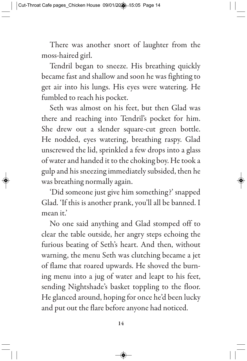There was another snort of laughter from the moss-haired girl.

Tendril began to sneeze. His breathing quickly became fast and shallow and soon he was fighting to get air into his lungs. His eyes were watering. He fumbled to reach his pocket.

Seth was almost on his feet, but then Glad was there and reaching into Tendril's pocket for him. She drew out a slender square-cut green bottle. He nodded, eyes watering, breathing raspy. Glad unscrewed the lid, sprinkled a few drops into a glass of water and handed it to the choking boy. He took a gulp and his sneezing immediately subsided, then he was breathing normally again.

'Did someone just give him something?' snapped Glad. 'If this is another prank, you'll all be banned. I mean it.'

No one said anything and Glad stomped off to clear the table outside, her angry steps echoing the furious beating of Seth's heart. And then, without warning, the menu Seth was clutching became a jet of flame that roared upwards. He shoved the burning menu into a jug of water and leapt to his feet, sending Nightshade's basket toppling to the floor. He glanced around, hoping for once he'd been lucky and put out the flare before anyone had noticed.